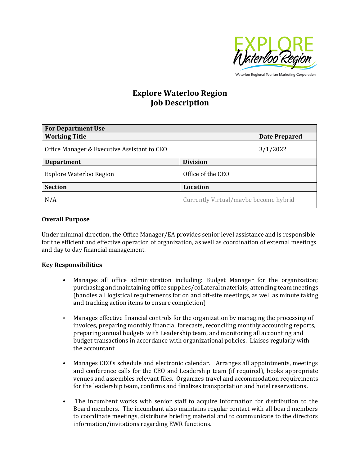

Waterloo Regional Tourism Marketing Corporation

# **Explore Waterloo Region Job Description**

| <b>For Department Use</b>                   |                                       |                      |
|---------------------------------------------|---------------------------------------|----------------------|
| <b>Working Title</b>                        |                                       | <b>Date Prepared</b> |
| Office Manager & Executive Assistant to CEO |                                       | 3/1/2022             |
| <b>Department</b>                           | <b>Division</b>                       |                      |
| <b>Explore Waterloo Region</b>              | Office of the CEO                     |                      |
| <b>Section</b>                              | <b>Location</b>                       |                      |
| N/A                                         | Currently Virtual/maybe become hybrid |                      |

#### **Overall Purpose**

Under minimal direction, the Office Manager/EA provides senior level assistance and is responsible for the efficient and effective operation of organization, as well as coordination of external meetings and day to day financial management.

## **Key Responsibilities**

- Manages all office administration including: Budget Manager for the organization; purchasing and maintaining office supplies/collateral materials; attending team meetings (handles all logistical requirements for on and off-site meetings, as well as minute taking and tracking action items to ensure completion)
- Manages effective financial controls for the organization by managing the processing of invoices, preparing monthly financial forecasts, reconciling monthly accounting reports, preparing annual budgets with Leadership team, and monitoring all accounting and budget transactions in accordance with organizational policies. Liaises regularly with the accountant
- Manages CEO's schedule and electronic calendar. Arranges all appointments, meetings and conference calls for the CEO and Leadership team (if required), books appropriate venues and assembles relevant files. Organizes travel and accommodation requirements for the leadership team, confirms and finalizes transportation and hotel reservations.
- The incumbent works with senior staff to acquire information for distribution to the Board members. The incumbant also maintains regular contact with all board members to coordinate meetings, distribute briefing material and to communicate to the directors information/invitations regarding EWR functions.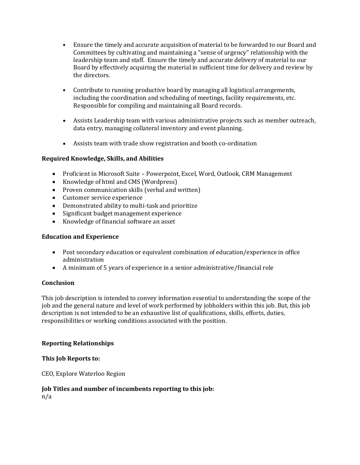- Ensure the timely and accurate acquisition of material to be forwarded to our Board and Committees by cultivating and maintaining a "sense of urgency" relationship with the leadership team and staff. Ensure the timely and accurate delivery of material to our Board by effectively acquiring the material in sufficient time for delivery and review by the directors.
- Contribute to running productive board by managing all logistical arrangements, including the coordination and scheduling of meetings, facility requirements, etc. Responsible for compiling and maintaining all Board records.
- Assists Leadership team with various administrative projects such as member outreach, data entry, managing collateral inventory and event planning.
- Assists team with trade show registration and booth co-ordination

## **Required Knowledge, Skills, and Abilities**

- Proficient in Microsoft Suite Powerpoint, Excel, Word, Outlook, CRM Management
- Knowledge of html and CMS (Wordpress)
- Proven communication skills (verbal and written)
- Customer service experience
- Demonstrated ability to multi-task and prioritize
- Significant budget management experience
- Knowledge of financial software an asset

## **Education and Experience**

- Post secondary education or equivalent combination of education/experience in office administration
- A minimum of 5 years of experience in a senior administrative/financial role

## **Conclusion**

This job description is intended to convey information essential to understanding the scope of the job and the general nature and level of work performed by jobholders within this job. But, this job description is not intended to be an exhaustive list of qualifications, skills, efforts, duties, responsibilities or working conditions associated with the position.

## **Reporting Relationships**

**This Job Reports to:**

CEO, Explore Waterloo Region

## **Job Titles and number of incumbents reporting to this job:**

n/a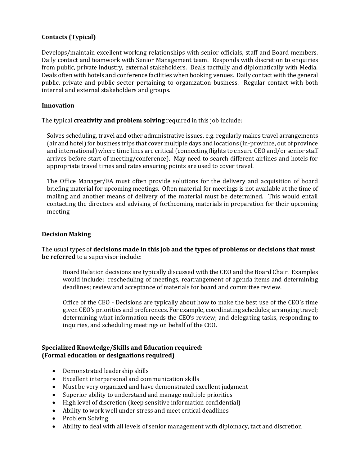## **Contacts (Typical)**

Develops/maintain excellent working relationships with senior officials, staff and Board members. Daily contact and teamwork with Senior Management team. Responds with discretion to enquiries from public, private industry, external stakeholders. Deals tactfully and diplomatically with Media. Deals often with hotels and conference facilities when booking venues. Daily contact with the general public, private and public sector pertaining to organization business. Regular contact with both internal and external stakeholders and groups.

#### **Innovation**

The typical **creativity and problem solving** required in this job include:

Solves scheduling, travel and other administrative issues, e.g. regularly makes travel arrangements (air and hotel) for business trips that cover multiple days and locations (in-province, out of province and international) where time lines are critical (connecting flights to ensure CEO and/or senior staff arrives before start of meeting/conference). May need to search different airlines and hotels for appropriate travel times and rates ensuring points are used to cover travel.

The Office Manager/EA must often provide solutions for the delivery and acquisition of board briefing material for upcoming meetings. Often material for meetings is not available at the time of mailing and another means of delivery of the material must be determined. This would entail contacting the directors and advising of forthcoming materials in preparation for their upcoming meeting

## **Decision Making**

The usual types of **decisions made in this job and the types of problems or decisions that must be referred** to a supervisor include:

Board Relation decisions are typically discussed with the CEO and the Board Chair. Examples would include: rescheduling of meetings, rearrangement of agenda items and determining deadlines; review and acceptance of materials for board and committee review.

Office of the CEO - Decisions are typically about how to make the best use of the CEO's time given CEO's priorities and preferences. For example, coordinating schedules; arranging travel; determining what information needs the CEO's review; and delegating tasks, responding to inquiries, and scheduling meetings on behalf of the CEO.

#### **Specialized Knowledge/Skills and Education required: (Formal education or designations required)**

- Demonstrated leadership skills
- Excellent interpersonal and communication skills
- Must be very organized and have demonstrated excellent judgment
- Superior ability to understand and manage multiple priorities
- High level of discretion (keep sensitive information confidential)
- Ability to work well under stress and meet critical deadlines
- Problem Solving
- Ability to deal with all levels of senior management with diplomacy, tact and discretion